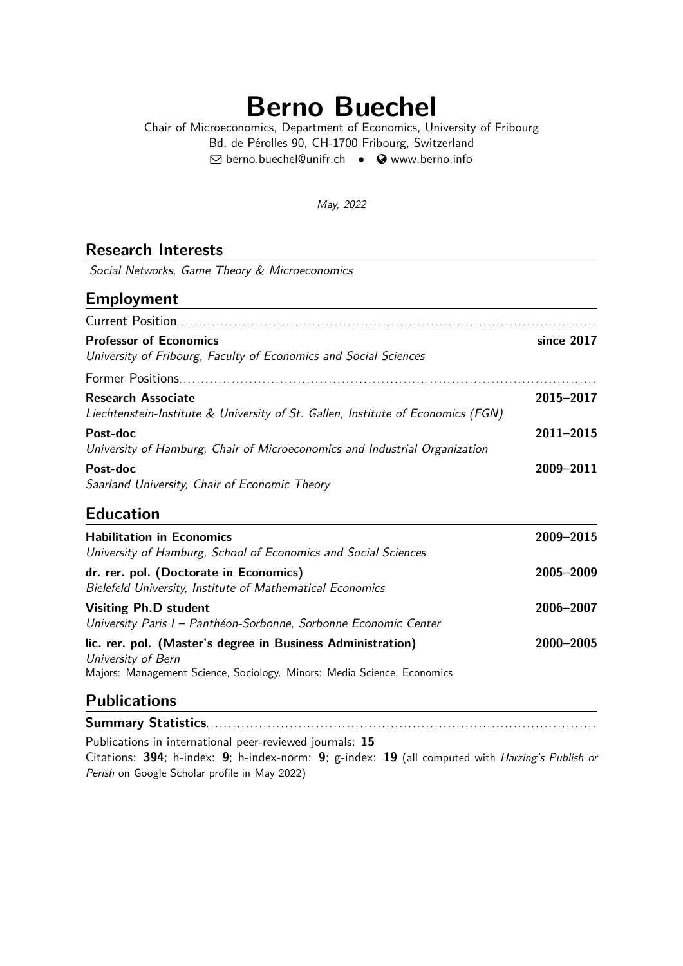# **Berno Buechel**

Chair of Microeconomics, Department of Economics, University of Fribourg Bd. de Pérolles 90, CH-1700 Fribourg, Switzerland  $\boxtimes$  [berno.buechel@unifr.ch](mailto:berno.buechel@unifr.ch) •  $\bullet$  [www.berno.info](http://www.berno.info)

May, 2022

### **Research Interests**

Social Networks, Game Theory & Microeconomics

### **Employment**

| <b>Professor of Economics</b><br>University of Fribourg, Faculty of Economics and Social Sciences             | since 2017 |
|---------------------------------------------------------------------------------------------------------------|------------|
|                                                                                                               |            |
| <b>Research Associate</b><br>Liechtenstein-Institute & University of St. Gallen, Institute of Economics (FGN) | 2015-2017  |
| Post-doc<br>University of Hamburg, Chair of Microeconomics and Industrial Organization                        | 2011-2015  |
| Post-doc<br>Saarland University, Chair of Economic Theory                                                     | 2009-2011  |

# **Education**

| <b>Habilitation in Economics</b><br>University of Hamburg, School of Economics and Social Sciences                                                           | 2009-2015 |
|--------------------------------------------------------------------------------------------------------------------------------------------------------------|-----------|
| dr. rer. pol. (Doctorate in Economics)<br>Bielefeld University, Institute of Mathematical Economics                                                          | 2005-2009 |
| <b>Visiting Ph.D student</b><br>University Paris I - Panthéon-Sorbonne, Sorbonne Economic Center                                                             | 2006-2007 |
| lic. rer. pol. (Master's degree in Business Administration)<br>University of Bern<br>Majors: Management Science, Sociology. Minors: Media Science, Economics | 2000-2005 |

### **Publications**

**Summary Statistics**. . . . . . . . . . . . . . . . . . . . . . . . . . . . . . . . . . . . . . . . . . . . . . . . . . . . . . . . . . . . . . . . . . . . . . . . . . . . . . . . . . . . . . . . . Publications in international peer-reviewed journals: **15** Citations: **394**; h-index: **9**; h-index-norm: **9**; g-index: **19** (all computed with Harzing's Publish or Perish on Google Scholar profile in May 2022)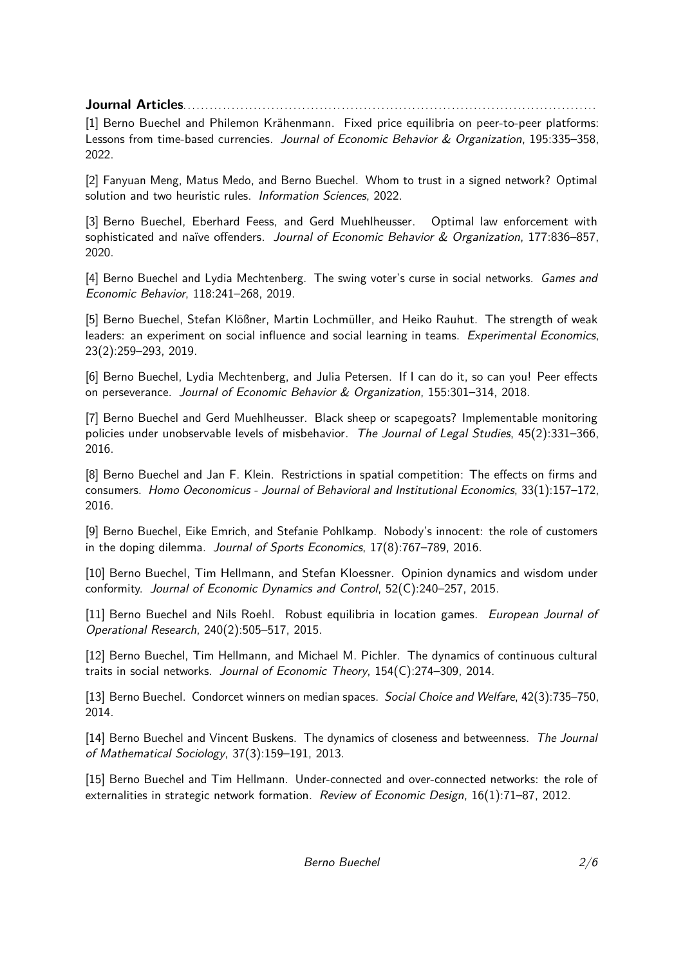**Journal Articles**. . . . . . . . . . . . . . . . . . . . . . . . . . . . . . . . . . . . . . . . . . . . . . . . . . . . . . . . . . . . . . . . . . . . . . . . . . . . . . . . . . . . . . . . . . . . . .

[1] Berno Buechel and Philemon Krähenmann. Fixed price equilibria on peer-to-peer platforms: Lessons from time-based currencies. Journal of Economic Behavior & Organization, 195:335-358, 2022.

[2] Fanyuan Meng, Matus Medo, and Berno Buechel. Whom to trust in a signed network? Optimal solution and two heuristic rules. Information Sciences, 2022.

[3] Berno Buechel, Eberhard Feess, and Gerd Muehlheusser. Optimal law enforcement with sophisticated and naïve offenders. Journal of Economic Behavior & Organization, 177:836-857, 2020.

[4] Berno Buechel and Lydia Mechtenberg. The swing voter's curse in social networks. Games and Economic Behavior, 118:241–268, 2019.

[5] Berno Buechel, Stefan Klößner, Martin Lochmüller, and Heiko Rauhut. The strength of weak leaders: an experiment on social influence and social learning in teams. Experimental Economics, 23(2):259–293, 2019.

[6] Berno Buechel, Lydia Mechtenberg, and Julia Petersen. If I can do it, so can you! Peer effects on perseverance. Journal of Economic Behavior & Organization, 155:301–314, 2018.

[7] Berno Buechel and Gerd Muehlheusser. Black sheep or scapegoats? Implementable monitoring policies under unobservable levels of misbehavior. The Journal of Legal Studies, 45(2):331–366, 2016.

[8] Berno Buechel and Jan F. Klein. Restrictions in spatial competition: The effects on firms and consumers. Homo Oeconomicus - Journal of Behavioral and Institutional Economics, 33(1):157–172, 2016.

[9] Berno Buechel, Eike Emrich, and Stefanie Pohlkamp. Nobody's innocent: the role of customers in the doping dilemma. Journal of Sports Economics, 17(8):767–789, 2016.

[10] Berno Buechel, Tim Hellmann, and Stefan Kloessner. Opinion dynamics and wisdom under conformity. Journal of Economic Dynamics and Control, 52(C):240–257, 2015.

[11] Berno Buechel and Nils Roehl. Robust equilibria in location games. European Journal of Operational Research, 240(2):505–517, 2015.

[12] Berno Buechel, Tim Hellmann, and Michael M. Pichler. The dynamics of continuous cultural traits in social networks. Journal of Economic Theory, 154(C):274–309, 2014.

[13] Berno Buechel. Condorcet winners on median spaces. Social Choice and Welfare, 42(3):735–750, 2014.

[14] Berno Buechel and Vincent Buskens. The dynamics of closeness and betweenness. The Journal of Mathematical Sociology, 37(3):159–191, 2013.

[15] Berno Buechel and Tim Hellmann. Under-connected and over-connected networks: the role of externalities in strategic network formation. Review of Economic Design, 16(1):71–87, 2012.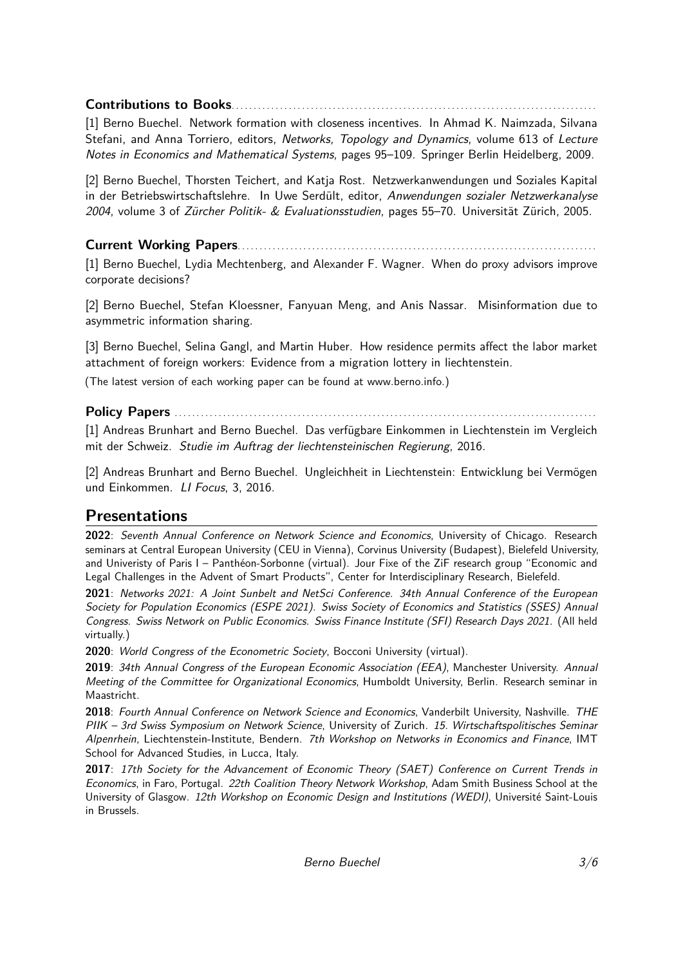### **Contributions to Books**. . . . . . . . . . . . . . . . . . . . . . . . . . . . . . . . . . . . . . . . . . . . . . . . . . . . . . . . . . . . . . . . . . . . . . . . . . . . . . . . . . .

[1] Berno Buechel. Network formation with closeness incentives. In Ahmad K. Naimzada, Silvana Stefani, and Anna Torriero, editors, Networks, Topology and Dynamics, volume 613 of Lecture Notes in Economics and Mathematical Systems, pages 95–109. Springer Berlin Heidelberg, 2009.

[2] Berno Buechel, Thorsten Teichert, and Katja Rost. Netzwerkanwendungen und Soziales Kapital in der Betriebswirtschaftslehre. In Uwe Serdült, editor, Anwendungen sozialer Netzwerkanalyse 2004, volume 3 of Zürcher Politik- & Evaluationsstudien, pages 55–70. Universität Zürich, 2005.

### **Current Working Papers**. . . . . . . . . . . . . . . . . . . . . . . . . . . . . . . . . . . . . . . . . . . . . . . . . . . . . . . . . . . . . . . . . . . . . . . . . . . . . . . . . .

[1] Berno Buechel, Lydia Mechtenberg, and Alexander F. Wagner. When do proxy advisors improve corporate decisions?

[2] Berno Buechel, Stefan Kloessner, Fanyuan Meng, and Anis Nassar. Misinformation due to asymmetric information sharing.

[3] Berno Buechel, Selina Gangl, and Martin Huber. How residence permits affect the labor market attachment of foreign workers: Evidence from a migration lottery in liechtenstein.

(The latest version of each working paper can be found at [www.berno.info.](http://www.berno.info.))

### **Policy Papers** . . . . . . . . . . . . . . . . . . . . . . . . . . . . . . . . . . . . . . . . . . . . . . . . . . . . . . . . . . . . . . . . . . . . . . . . . . . . . . . . . . . . . . . . . . . . . . . .

[1] Andreas Brunhart and Berno Buechel. Das verfügbare Einkommen in Liechtenstein im Vergleich mit der Schweiz. Studie im Auftrag der liechtensteinischen Regierung, 2016.

[2] Andreas Brunhart and Berno Buechel. Ungleichheit in Liechtenstein: Entwicklung bei Vermögen und Einkommen. LI Focus, 3, 2016.

# **Presentations**

**2022**: Seventh Annual Conference on Network Science and Economics, University of Chicago. Research seminars at Central European University (CEU in Vienna), Corvinus University (Budapest), Bielefeld University, and Univeristy of Paris I – Panthéon-Sorbonne (virtual). Jour Fixe of the ZiF research group "Economic and Legal Challenges in the Advent of Smart Products", Center for Interdisciplinary Research, Bielefeld.

**2021**: Networks 2021: A Joint Sunbelt and NetSci Conference. 34th Annual Conference of the European Society for Population Economics (ESPE 2021). Swiss Society of Economics and Statistics (SSES) Annual Congress. Swiss Network on Public Economics. Swiss Finance Institute (SFI) Research Days 2021. (All held virtually.)

**2020**: World Congress of the Econometric Society, Bocconi University (virtual).

**2019**: 34th Annual Congress of the European Economic Association (EEA), Manchester University. Annual Meeting of the Committee for Organizational Economics, Humboldt University, Berlin. Research seminar in Maastricht.

**2018**: Fourth Annual Conference on Network Science and Economics, Vanderbilt University, Nashville. THE PIIK – 3rd Swiss Symposium on Network Science, University of Zurich. 15. Wirtschaftspolitisches Seminar Alpenrhein, Liechtenstein-Institute, Bendern. 7th Workshop on Networks in Economics and Finance, IMT School for Advanced Studies, in Lucca, Italy.

**2017**: 17th Society for the Advancement of Economic Theory (SAET) Conference on Current Trends in Economics, in Faro, Portugal. 22th Coalition Theory Network Workshop, Adam Smith Business School at the University of Glasgow. 12th Workshop on Economic Design and Institutions (WEDI), Université Saint-Louis in Brussels.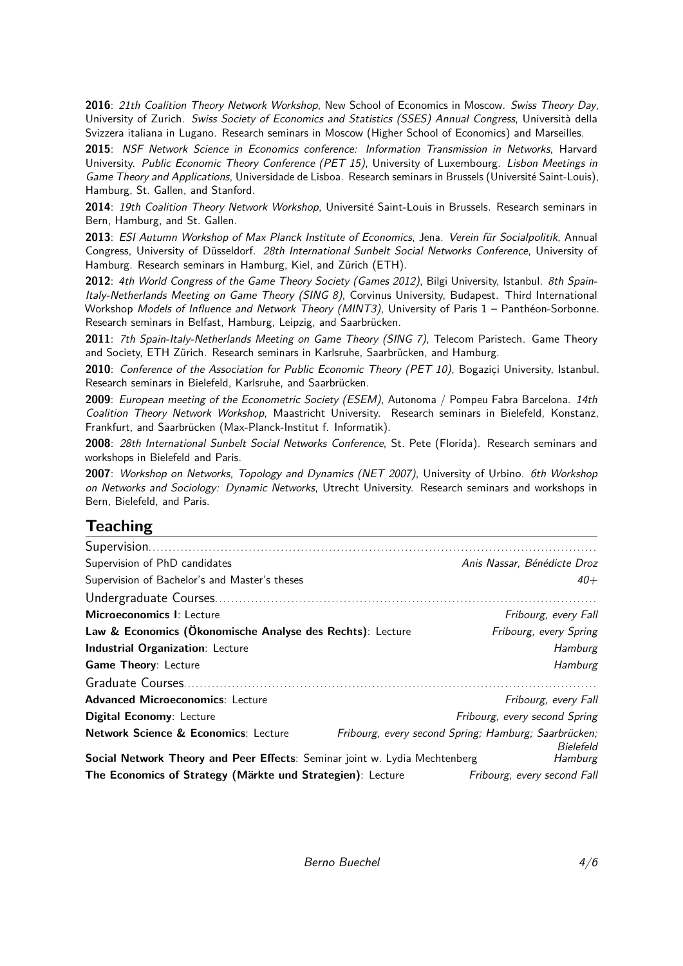**2016**: 21th Coalition Theory Network Workshop, New School of Economics in Moscow. Swiss Theory Day, University of Zurich. Swiss Society of Economics and Statistics (SSES) Annual Congress, Università della Svizzera italiana in Lugano. Research seminars in Moscow (Higher School of Economics) and Marseilles.

**2015**: NSF Network Science in Economics conference: Information Transmission in Networks, Harvard University. Public Economic Theory Conference (PET 15), University of Luxembourg. Lisbon Meetings in Game Theory and Applications, Universidade de Lisboa. Research seminars in Brussels (Université Saint-Louis), Hamburg, St. Gallen, and Stanford.

**2014**: 19th Coalition Theory Network Workshop, Université Saint-Louis in Brussels. Research seminars in Bern, Hamburg, and St. Gallen.

**2013**: ESI Autumn Workshop of Max Planck Institute of Economics, Jena. Verein für Socialpolitik, Annual Congress, University of Düsseldorf. 28th International Sunbelt Social Networks Conference, University of Hamburg. Research seminars in Hamburg, Kiel, and Zürich (ETH).

2012: 4th World Congress of the Game Theory Society (Games 2012), Bilgi University, Istanbul. 8th Spain-Italy-Netherlands Meeting on Game Theory (SING 8), Corvinus University, Budapest. Third International Workshop Models of Influence and Network Theory (MINT3), University of Paris 1 - Panthéon-Sorbonne. Research seminars in Belfast, Hamburg, Leipzig, and Saarbrücken.

**2011**: 7th Spain-Italy-Netherlands Meeting on Game Theory (SING 7), Telecom Paristech. Game Theory and Society, ETH Zürich. Research seminars in Karlsruhe, Saarbrücken, and Hamburg.

**2010**: Conference of the Association for Public Economic Theory (PET 10), Bogaziçi University, Istanbul. Research seminars in Bielefeld, Karlsruhe, and Saarbrücken.

**2009**: European meeting of the Econometric Society (ESEM), Autonoma / Pompeu Fabra Barcelona. 14th Coalition Theory Network Workshop, Maastricht University. Research seminars in Bielefeld, Konstanz, Frankfurt, and Saarbrücken (Max-Planck-Institut f. Informatik).

**2008**: 28th International Sunbelt Social Networks Conference, St. Pete (Florida). Research seminars and workshops in Bielefeld and Paris.

**2007**: Workshop on Networks, Topology and Dynamics (NET 2007), University of Urbino. 6th Workshop on Networks and Sociology: Dynamic Networks, Utrecht University. Research seminars and workshops in Bern, Bielefeld, and Paris.

# **Teaching**

| Supervision of PhD candidates                                                                                               |                               | Anis Nassar, Bénédicte Droz |
|-----------------------------------------------------------------------------------------------------------------------------|-------------------------------|-----------------------------|
| Supervision of Bachelor's and Master's theses                                                                               |                               | $40 +$                      |
|                                                                                                                             |                               |                             |
| Microeconomics I: Lecture                                                                                                   |                               | Fribourg, every Fall        |
| Law & Economics (Ökonomische Analyse des Rechts): Lecture                                                                   |                               | Fribourg, every Spring      |
| <b>Industrial Organization: Lecture</b>                                                                                     |                               | Hamburg                     |
| <b>Game Theory: Lecture</b>                                                                                                 |                               | Hamburg                     |
| Graduate Courses                                                                                                            |                               |                             |
| <b>Advanced Microeconomics: Lecture</b>                                                                                     | Fribourg, every Fall          |                             |
| <b>Digital Economy: Lecture</b>                                                                                             | Fribourg, every second Spring |                             |
| <b>Network Science &amp; Economics: Lecture</b><br>Fribourg, every second Spring; Hamburg; Saarbrücken;<br><b>Bielefeld</b> |                               |                             |
| Social Network Theory and Peer Effects: Seminar joint w. Lydia Mechtenberg                                                  |                               | Hamburg                     |
| The Economics of Strategy (Märkte und Strategien): Lecture                                                                  |                               | Fribourg, every second Fall |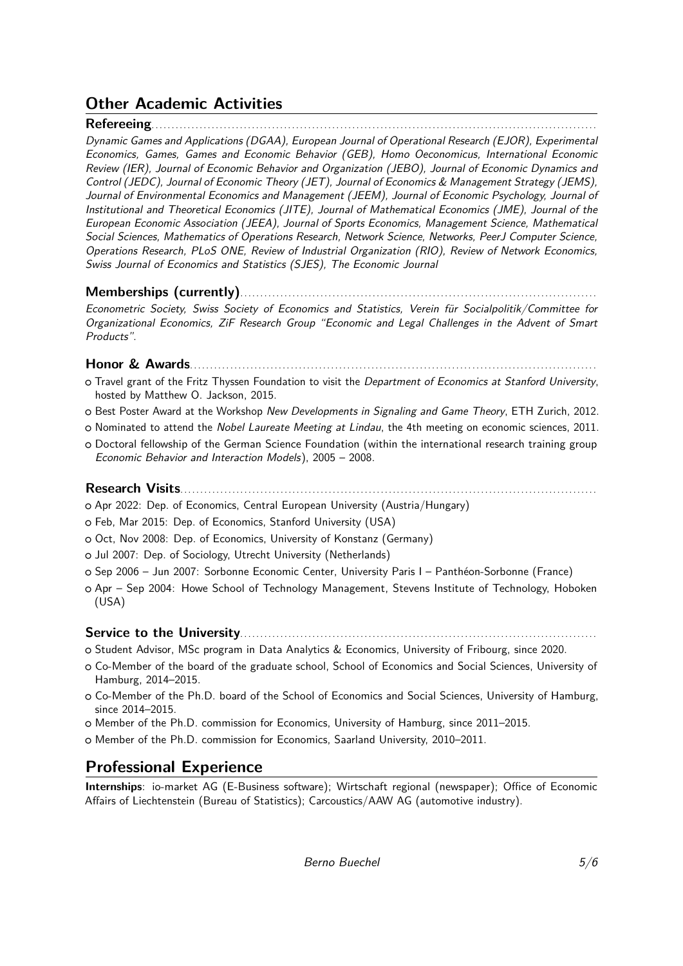# **Other Academic Activities**

### **Refereeing**...............................................................................................................

Dynamic Games and Applications (DGAA), European Journal of Operational Research (EJOR), Experimental Economics, Games, Games and Economic Behavior (GEB), Homo Oeconomicus, International Economic Review (IER), Journal of Economic Behavior and Organization (JEBO), Journal of Economic Dynamics and Control (JEDC), Journal of Economic Theory (JET), Journal of Economics & Management Strategy (JEMS), Journal of Environmental Economics and Management (JEEM), Journal of Economic Psychology, Journal of Institutional and Theoretical Economics (JITE), Journal of Mathematical Economics (JME), Journal of the European Economic Association (JEEA), Journal of Sports Economics, Management Science, Mathematical Social Sciences, Mathematics of Operations Research, Network Science, Networks, PeerJ Computer Science, Operations Research, PLoS ONE, Review of Industrial Organization (RIO), Review of Network Economics, Swiss Journal of Economics and Statistics (SJES), The Economic Journal

### **Memberships (currently)**.........................................................................................

Econometric Society, Swiss Society of Economics and Statistics, Verein für Socialpolitik/Committee for Organizational Economics, ZiF Research Group "Economic and Legal Challenges in the Advent of Smart Products".

#### **Honor & Awards**.....................................................................................................

- o Travel grant of the Fritz Thyssen Foundation to visit the Department of Economics at Stanford University, hosted by Matthew O. Jackson, 2015.
- o Best Poster Award at the Workshop New Developments in Signaling and Game Theory, ETH Zurich, 2012.
- o Nominated to attend the Nobel Laureate Meeting at Lindau, the 4th meeting on economic sciences, 2011.
- o Doctoral fellowship of the German Science Foundation (within the international research training group Economic Behavior and Interaction Models), 2005 – 2008.

#### **Research Visits**........................................................................................................

- <sup>+</sup> Apr 2022: Dep. of Economics, Central European University (Austria/Hungary)
- o Feb, Mar 2015: Dep. of Economics, Stanford University (USA)
- o Oct, Nov 2008: Dep. of Economics, University of Konstanz (Germany)
- o Jul 2007: Dep. of Sociology, Utrecht University (Netherlands)
- <sup>+</sup> Sep 2006 Jun 2007: Sorbonne Economic Center, University Paris I Panthéon-Sorbonne (France)
- o Apr Sep 2004: Howe School of Technology Management, Stevens Institute of Technology, Hoboken (USA)

### **Service to the University**.........................................................................................

- <sup>+</sup> Student Advisor, MSc program in Data Analytics & Economics, University of Fribourg, since 2020.
- <sup>+</sup> Co-Member of the board of the graduate school, School of Economics and Social Sciences, University of Hamburg, 2014–2015.
- o Co-Member of the Ph.D. board of the School of Economics and Social Sciences, University of Hamburg, since 2014–2015.
- o Member of the Ph.D. commission for Economics, University of Hamburg, since 2011–2015.
- o Member of the Ph.D. commission for Economics, Saarland University, 2010–2011.

# **Professional Experience**

**Internships**: io-market AG (E-Business software); Wirtschaft regional (newspaper); Office of Economic Affairs of Liechtenstein (Bureau of Statistics); Carcoustics/AAW AG (automotive industry).